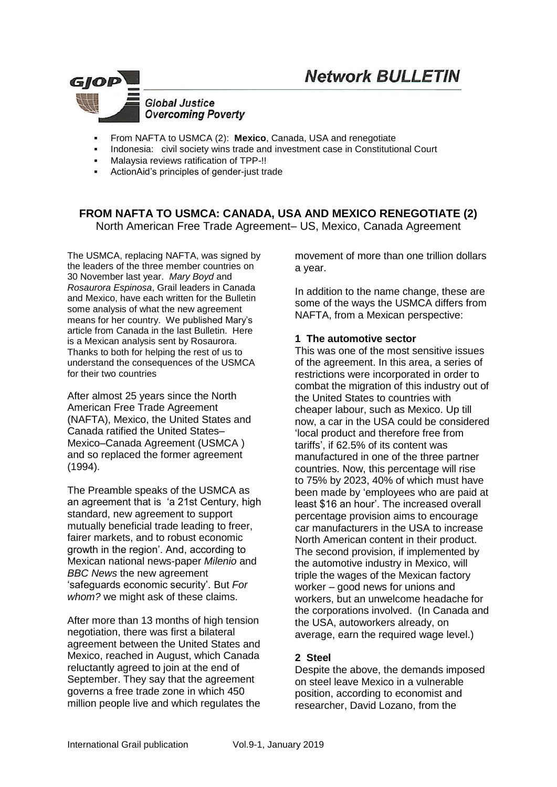# **Network BULLETIN**



- From NAFTA to USMCA (2): **Mexico**, Canada, USA and renegotiate
- Indonesia: civil society wins trade and investment case in Constitutional Court
- Malaysia reviews ratification of TPP-!!
- ActionAid's principles of gender-just trade

# **FROM NAFTA TO USMCA: CANADA, USA AND MEXICO RENEGOTIATE (2)**

North American Free Trade Agreement– US, Mexico, Canada Agreement

The USMCA, replacing NAFTA, was signed by the leaders of the three member countries on 30 November last year. *Mary Boyd* and *Rosaurora Espinosa*, Grail leaders in Canada and Mexico, have each written for the Bulletin some analysis of what the new agreement means for her country. We published Mary's article from Canada in the last Bulletin. Here is a Mexican analysis sent by Rosaurora. Thanks to both for helping the rest of us to understand the consequences of the USMCA for their two countries

After almost 25 years since the North American Free Trade Agreement [\(NAFTA\)](https://www.thebalance.com/nafta-definition-north-american-free-trade-agreement-3306147), Mexico, the United States and Canada ratified the United States– Mexico–Canada Agreement (USMCA ) and so replaced the former agreement (1994).

The Preamble speaks of the USMCA as an agreement that is 'a 21st Century, high standard, new agreement to support mutually beneficial trade leading to freer, fairer markets, and to robust economic growth in the region'. And, according to Mexican national news-paper *Milenio* and *BBC News* the new agreement 'safeguards economic security'. But *For whom?* we might ask of these claims.

After more than 13 months of high tension negotiation, there was first a bilateral agreement between the United States and Mexico, reached in August, which Canada reluctantly agreed to join at the end of September. They say that the agreement governs a free trade zone in which 450 million people live and which regulates the movement of more than one trillion dollars a year.

In addition to the name change, these are some of the ways the USMCA differs from NAFTA, from a Mexican perspective:

#### **1 The automotive sector**

This was one of the most sensitive issues of the agreement. In this area, a series of restrictions were incorporated in order to combat the migration of this industry out of the United States to countries with cheaper labour, such as Mexico. Up till now, a car in the USA could be considered 'local product and therefore free from tariffs', if 62.5% of its content was manufactured in one of the three partner countries. Now, this percentage will rise to 75% by 2023, 40% of which must have been made by 'employees who are paid at least \$16 an hour'. The increased overall percentage provision aims to encourage car manufacturers in the USA to increase North American content in their product. The second provision, if implemented by the automotive industry in Mexico, will triple the wages of the Mexican factory worker – good news for unions and workers, but an unwelcome headache for the corporations involved. (In Canada and the USA, autoworkers already, on average, earn the required wage level.)

## **2 Steel**

Despite the above, the demands imposed on steel leave Mexico in a vulnerable position, according to economist and researcher, David Lozano, from the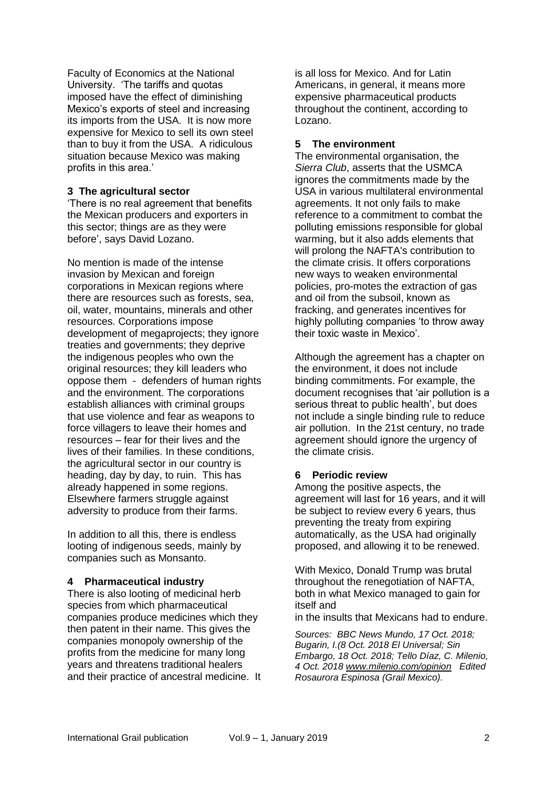Faculty of Economics at the National University. 'The tariffs and quotas imposed have the effect of diminishing Mexico's exports of steel and increasing its imports from the USA. It is now more expensive for Mexico to sell its own steel than to buy it from the USA. A ridiculous situation because Mexico was making profits in this area.'

#### **3 The agricultural sector**

'There is no real agreement that benefits the Mexican producers and exporters in this sector; things are as they were before', says David Lozano.

No mention is made of the intense invasion by Mexican and foreign corporations in Mexican regions where there are resources such as forests, sea, oil, water, mountains, minerals and other resources. Corporations impose development of megaprojects; they ignore treaties and governments; they deprive the indigenous peoples who own the original resources; they kill leaders who oppose them - defenders of human rights and the environment. The corporations establish alliances with criminal groups that use violence and fear as weapons to force villagers to leave their homes and resources – fear for their lives and the lives of their families. In these conditions, the agricultural sector in our country is heading, day by day, to ruin. This has already happened in some regions. Elsewhere farmers struggle against adversity to produce from their farms.

In addition to all this, there is endless looting of indigenous seeds, mainly by companies such as Monsanto.

#### **4 Pharmaceutical industry**

There is also looting of medicinal herb species from which pharmaceutical companies produce medicines which they then patent in their name. This gives the companies monopoly ownership of the profits from the medicine for many long years and threatens traditional healers and their practice of ancestral medicine. It

is all loss for Mexico. And for Latin Americans, in general, it means more expensive pharmaceutical products throughout the continent, according to Lozano.

#### **5 The environment**

The environmental organisation, the *[Sierra Club](https://www.sierraclub.org/home)*, asserts that the USMCA ignores the commitments made by the USA in various multilateral environmental agreements. It not only fails to make reference to a commitment to combat the polluting emissions responsible for global warming, but it also adds elements that will prolong the NAFTA's contribution to the climate crisis. It offers corporations new ways to weaken environmental policies, pro-motes the extraction of gas and oil from the subsoil, known as fracking, and generates incentives for highly polluting companies 'to throw away their toxic waste in Mexico'.

Although the agreement has a chapter on the environment, it does not include binding commitments. For example, the document recognises that 'air pollution is a serious threat to public health', but does not include a single binding rule to reduce air pollution. In the 21st century, no trade agreement should ignore the urgency of the climate crisis.

## **6 Periodic review**

Among the positive aspects, the agreement will last for 16 years, and it will be subject to review every 6 years, thus preventing the treaty from expiring automatically, as the USA had originally proposed, and allowing it to be renewed.

With Mexico, Donald Trump was brutal throughout the renegotiation of NAFTA, both in what Mexico managed to gain for itself and

in the insults that Mexicans had to endure.

*Sources: BBC News Mundo, 17 Oct. 2018; Bugarin, I.(8 Oct. 2018 El Universal; Sin Embargo, 18 Oct. 2018; Tello Díaz, C. Milenio, 4 Oct. 2018 [www.milenio.com/opinion](http://www.milenio.com/opinion) Edited Rosaurora Espinosa (Grail Mexico).*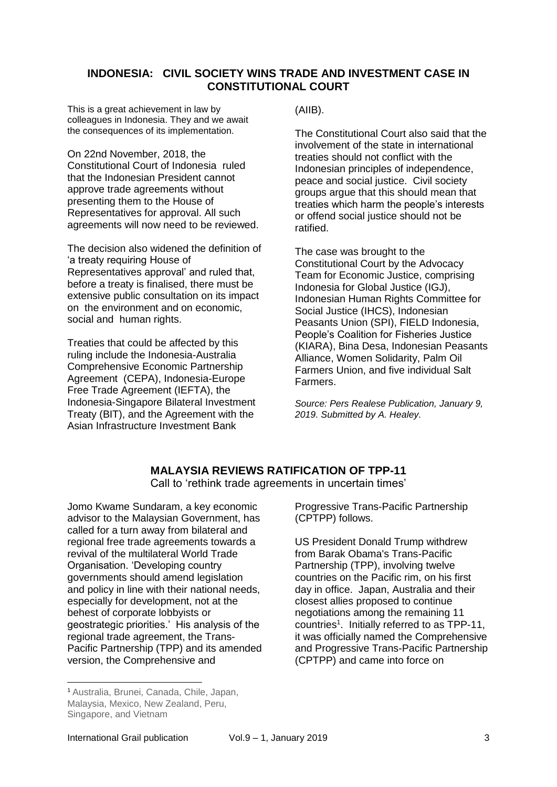## **INDONESIA: CIVIL SOCIETY WINS TRADE AND INVESTMENT CASE IN CONSTITUTIONAL COURT**

This is a great achievement in law by colleagues in Indonesia. They and we await the consequences of its implementation.

On 22nd November, 2018, the Constitutional Court of Indonesia ruled that the Indonesian President cannot approve trade agreements without presenting them to the House of Representatives for approval. All such agreements will now need to be reviewed.

The decision also widened the definition of 'a treaty requiring House of Representatives approval' and ruled that, before a treaty is finalised, there must be extensive public consultation on its impact on the environment and on economic, social and human rights.

Treaties that could be affected by this ruling include the Indonesia-Australia Comprehensive Economic Partnership Agreement (CEPA), Indonesia-Europe Free Trade Agreement (IEFTA), the Indonesia-Singapore Bilateral Investment Treaty (BIT), and the Agreement with the Asian Infrastructure Investment Bank

(AIIB).

The Constitutional Court also said that the involvement of the state in international treaties should not conflict with the Indonesian principles of independence, peace and social justice. Civil society groups argue that this should mean that treaties which harm the people's interests or offend social justice should not be ratified.

The case was brought to the Constitutional Court by the Advocacy Team for Economic Justice, comprising Indonesia for Global Justice (IGJ), Indonesian Human Rights Committee for Social Justice (IHCS), Indonesian Peasants Union (SPI), FIELD Indonesia, People's Coalition for Fisheries Justice (KIARA), Bina Desa, Indonesian Peasants Alliance, Women Solidarity, Palm Oil Farmers Union, and five individual Salt Farmers.

*Source: Pers Realese Publication, January 9, 2019. Submitted by A. Healey.*

# **MALAYSIA REVIEWS RATIFICATION OF TPP-11**

Call to 'rethink trade agreements in uncertain times'

Jomo Kwame Sundaram, a key economic advisor to the Malaysian Government, has called for a turn away from bilateral and regional free trade agreements towards a revival of the multilateral World Trade Organisation. 'Developing country governments should amend legislation and policy in line with their national needs, especially for development, not at the behest of corporate lobbyists or geostrategic priorities.' His analysis of the regional trade agreement, the Trans-Pacific Partnership (TPP) and its amended version, the Comprehensive and

Progressive Trans-Pacific Partnership (CPTPP) follows.

US President Donald Trump withdrew from Barak Obama's Trans-Pacific Partnership (TPP), involving twelve countries on the Pacific rim, on his first day in office. Japan, Australia and their closest allies proposed to continue negotiations among the remaining 11 countries<sup>1</sup>. Initially referred to as TPP-11, it was officially named the Comprehensive and Progressive Trans-Pacific Partnership (CPTPP) and came into force on

 $\overline{a}$ 

<sup>1</sup> Australia, Brunei, Canada, Chile, Japan, Malaysia, Mexico, New Zealand, Peru, Singapore, and Vietnam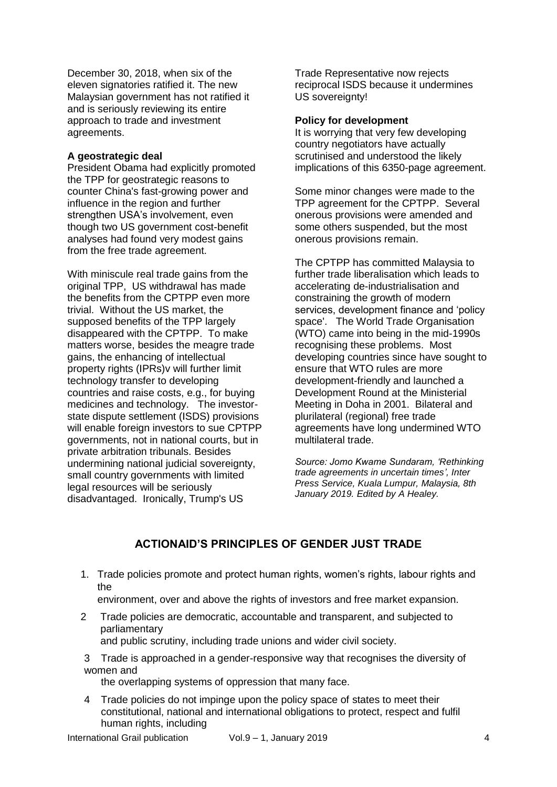December 30, 2018, when six of the eleven signatories ratified it. The new Malaysian government has not ratified it and is seriously reviewing its entire approach to trade and investment agreements.

#### **A geostrategic deal**

President Obama had explicitly promoted the TPP for geostrategic reasons to counter China's fast-growing power and influence in the region and further strengthen USA's involvement, even though two US government cost-benefit analyses had found very modest gains from the free trade agreement.

With miniscule real trade gains from the original TPP, US withdrawal has made the benefits from the CPTPP even more trivial. Without the US market, the supposed benefits of the TPP largely disappeared with the CPTPP. To make matters worse, besides the meagre trade gains, the enhancing of intellectual property rights (IPRs)v will further limit technology transfer to developing countries and raise costs, e.g., for buying medicines and technology. The investorstate dispute settlement (ISDS) provisions will enable foreign investors to sue CPTPP governments, not in national courts, but in private arbitration tribunals. Besides undermining national judicial sovereignty, small country governments with limited legal resources will be seriously disadvantaged. Ironically, Trump's US

Trade Representative now rejects reciprocal ISDS because it undermines US sovereignty!

#### **Policy for development**

It is worrying that very few developing country negotiators have actually scrutinised and understood the likely implications of this 6350-page agreement.

Some minor changes were made to the TPP agreement for the CPTPP. Several onerous provisions were amended and some others suspended, but the most onerous provisions remain.

The CPTPP has committed Malaysia to further trade liberalisation which leads to accelerating de-industrialisation and constraining the growth of modern services, development finance and 'policy space'. The World Trade Organisation (WTO) came into being in the mid-1990s recognising these problems. Most developing countries since have sought to ensure that WTO rules are more development-friendly and launched a Development Round at the Ministerial Meeting in Doha in 2001. Bilateral and plurilateral (regional) free trade agreements have long undermined WTO multilateral trade.

*Source: Jomo Kwame Sundaram, 'Rethinking trade agreements in uncertain times', Inter Press Service, Kuala Lumpur, Malaysia, 8th January 2019. Edited by A Healey.*

# **ACTIONAID'S PRINCIPLES OF GENDER JUST TRADE**

1. Trade policies promote and protect human rights, women's rights, labour rights and the

environment, over and above the rights of investors and free market expansion.

2 Trade policies are democratic, accountable and transparent, and subjected to parliamentary and public scrutiny, including trade unions and wider civil society.

3 Trade is approached in a gender-responsive way that recognises the diversity of women and

the overlapping systems of oppression that many face.

4 Trade policies do not impinge upon the policy space of states to meet their constitutional, national and international obligations to protect, respect and fulfil human rights, including

International Grail publication Vol.9 – 1, January 2019 4